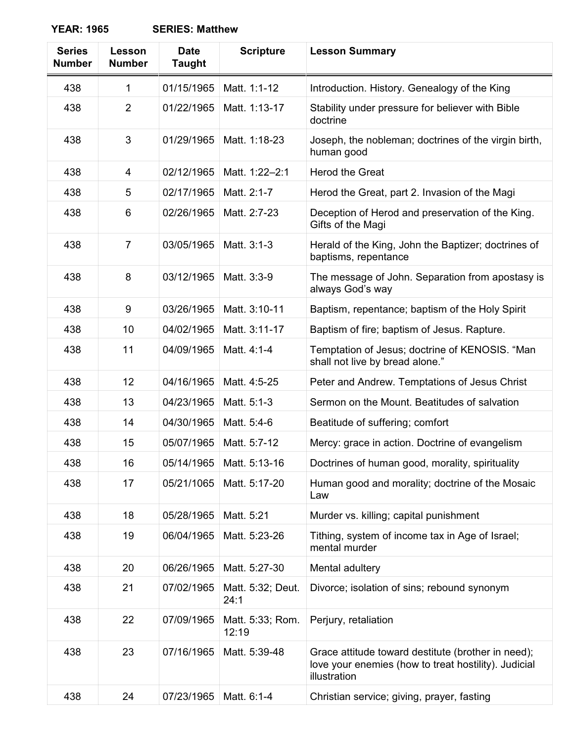**YEAR: 1965 SERIES: Matthew**

| <b>Series</b><br><b>Number</b> | Lesson<br><b>Number</b> | <b>Date</b><br><b>Taught</b> | <b>Scripture</b>          | <b>Lesson Summary</b>                                                                                                      |
|--------------------------------|-------------------------|------------------------------|---------------------------|----------------------------------------------------------------------------------------------------------------------------|
| 438                            | 1                       | 01/15/1965                   | Matt. 1:1-12              | Introduction. History. Genealogy of the King                                                                               |
| 438                            | $\overline{2}$          | 01/22/1965                   | Matt. 1:13-17             | Stability under pressure for believer with Bible<br>doctrine                                                               |
| 438                            | 3                       | 01/29/1965                   | Matt. 1:18-23             | Joseph, the nobleman; doctrines of the virgin birth,<br>human good                                                         |
| 438                            | 4                       | 02/12/1965                   | Matt. 1:22-2:1            | <b>Herod the Great</b>                                                                                                     |
| 438                            | 5                       | 02/17/1965                   | Matt. 2:1-7               | Herod the Great, part 2. Invasion of the Magi                                                                              |
| 438                            | 6                       | 02/26/1965                   | Matt. 2:7-23              | Deception of Herod and preservation of the King.<br>Gifts of the Magi                                                      |
| 438                            | $\overline{7}$          | 03/05/1965                   | Matt. 3:1-3               | Herald of the King, John the Baptizer; doctrines of<br>baptisms, repentance                                                |
| 438                            | 8                       | 03/12/1965                   | Matt. 3:3-9               | The message of John. Separation from apostasy is<br>always God's way                                                       |
| 438                            | 9                       | 03/26/1965                   | Matt. 3:10-11             | Baptism, repentance; baptism of the Holy Spirit                                                                            |
| 438                            | 10                      | 04/02/1965                   | Matt. 3:11-17             | Baptism of fire; baptism of Jesus. Rapture.                                                                                |
| 438                            | 11                      | 04/09/1965                   | Matt. 4:1-4               | Temptation of Jesus; doctrine of KENOSIS. "Man<br>shall not live by bread alone."                                          |
| 438                            | 12                      | 04/16/1965                   | Matt. 4:5-25              | Peter and Andrew. Temptations of Jesus Christ                                                                              |
| 438                            | 13                      | 04/23/1965                   | Matt. 5:1-3               | Sermon on the Mount. Beatitudes of salvation                                                                               |
| 438                            | 14                      | 04/30/1965                   | Matt. 5:4-6               | Beatitude of suffering; comfort                                                                                            |
| 438                            | 15                      | 05/07/1965                   | Matt. 5:7-12              | Mercy: grace in action. Doctrine of evangelism                                                                             |
| 438                            | 16                      | 05/14/1965                   | Matt. 5:13-16             | Doctrines of human good, morality, spirituality                                                                            |
| 438                            | 17                      | 05/21/1065                   | Matt. 5:17-20             | Human good and morality; doctrine of the Mosaic<br>Law                                                                     |
| 438                            | 18                      | 05/28/1965                   | Matt. 5:21                | Murder vs. killing; capital punishment                                                                                     |
| 438                            | 19                      | 06/04/1965                   | Matt. 5:23-26             | Tithing, system of income tax in Age of Israel;<br>mental murder                                                           |
| 438                            | 20                      | 06/26/1965                   | Matt. 5:27-30             | Mental adultery                                                                                                            |
| 438                            | 21                      | 07/02/1965                   | Matt. 5:32; Deut.<br>24:1 | Divorce; isolation of sins; rebound synonym                                                                                |
| 438                            | 22                      | 07/09/1965                   | Matt. 5:33; Rom.<br>12:19 | Perjury, retaliation                                                                                                       |
| 438                            | 23                      | 07/16/1965                   | Matt. 5:39-48             | Grace attitude toward destitute (brother in need);<br>love your enemies (how to treat hostility). Judicial<br>illustration |
| 438                            | 24                      | 07/23/1965                   | Matt. 6:1-4               | Christian service; giving, prayer, fasting                                                                                 |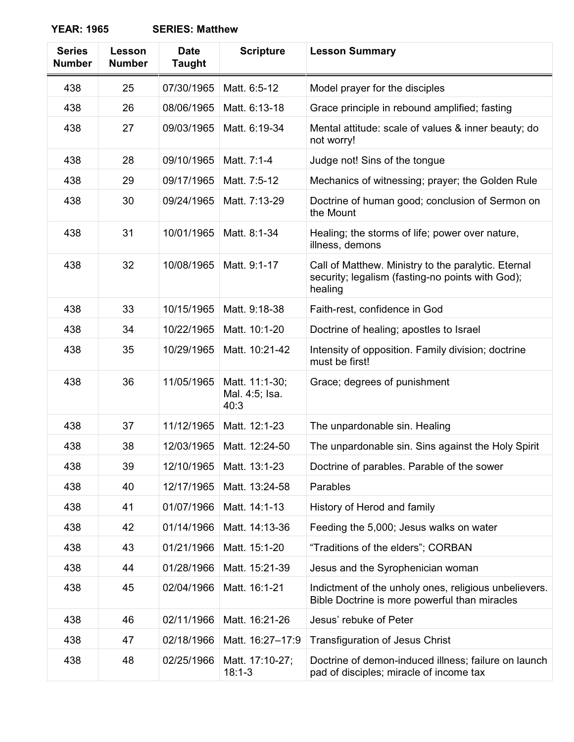**YEAR: 1965 SERIES: Matthew**

| <b>Series</b><br><b>Number</b> | Lesson<br><b>Number</b> | <b>Date</b><br><b>Taught</b> | <b>Scripture</b>                         | <b>Lesson Summary</b>                                                                                              |
|--------------------------------|-------------------------|------------------------------|------------------------------------------|--------------------------------------------------------------------------------------------------------------------|
| 438                            | 25                      | 07/30/1965                   | Matt. 6:5-12                             | Model prayer for the disciples                                                                                     |
| 438                            | 26                      | 08/06/1965                   | Matt. 6:13-18                            | Grace principle in rebound amplified; fasting                                                                      |
| 438                            | 27                      | 09/03/1965                   | Matt. 6:19-34                            | Mental attitude: scale of values & inner beauty; do<br>not worry!                                                  |
| 438                            | 28                      | 09/10/1965                   | Matt. 7:1-4                              | Judge not! Sins of the tongue                                                                                      |
| 438                            | 29                      | 09/17/1965                   | Matt. 7:5-12                             | Mechanics of witnessing; prayer; the Golden Rule                                                                   |
| 438                            | 30                      | 09/24/1965                   | Matt. 7:13-29                            | Doctrine of human good; conclusion of Sermon on<br>the Mount                                                       |
| 438                            | 31                      | 10/01/1965                   | Matt. 8:1-34                             | Healing; the storms of life; power over nature,<br>illness, demons                                                 |
| 438                            | 32                      | 10/08/1965                   | Matt. 9:1-17                             | Call of Matthew. Ministry to the paralytic. Eternal<br>security; legalism (fasting-no points with God);<br>healing |
| 438                            | 33                      | 10/15/1965                   | Matt. 9:18-38                            | Faith-rest, confidence in God                                                                                      |
| 438                            | 34                      | 10/22/1965                   | Matt. 10:1-20                            | Doctrine of healing; apostles to Israel                                                                            |
| 438                            | 35                      | 10/29/1965                   | Matt. 10:21-42                           | Intensity of opposition. Family division; doctrine<br>must be first!                                               |
| 438                            | 36                      | 11/05/1965                   | Matt. 11:1-30;<br>Mal. 4:5; Isa.<br>40:3 | Grace; degrees of punishment                                                                                       |
| 438                            | 37                      | 11/12/1965                   | Matt. 12:1-23                            | The unpardonable sin. Healing                                                                                      |
| 438                            | 38                      | 12/03/1965                   | Matt. 12:24-50                           | The unpardonable sin. Sins against the Holy Spirit                                                                 |
| 438                            | 39                      | 12/10/1965                   | Matt. 13:1-23                            | Doctrine of parables. Parable of the sower                                                                         |
| 438                            | 40                      | 12/17/1965                   | Matt. 13:24-58                           | Parables                                                                                                           |
| 438                            | 41                      | 01/07/1966                   | Matt. 14:1-13                            | History of Herod and family                                                                                        |
| 438                            | 42                      | 01/14/1966                   | Matt. 14:13-36                           | Feeding the 5,000; Jesus walks on water                                                                            |
| 438                            | 43                      | 01/21/1966                   | Matt. 15:1-20                            | "Traditions of the elders"; CORBAN                                                                                 |
| 438                            | 44                      | 01/28/1966                   | Matt. 15:21-39                           | Jesus and the Syrophenician woman                                                                                  |
| 438                            | 45                      | 02/04/1966                   | Matt. 16:1-21                            | Indictment of the unholy ones, religious unbelievers.<br>Bible Doctrine is more powerful than miracles             |
| 438                            | 46                      | 02/11/1966                   | Matt. 16:21-26                           | Jesus' rebuke of Peter                                                                                             |
| 438                            | 47                      | 02/18/1966                   | Matt. 16:27-17:9                         | <b>Transfiguration of Jesus Christ</b>                                                                             |
| 438                            | 48                      | 02/25/1966                   | Matt. 17:10-27;<br>$18:1-3$              | Doctrine of demon-induced illness; failure on launch<br>pad of disciples; miracle of income tax                    |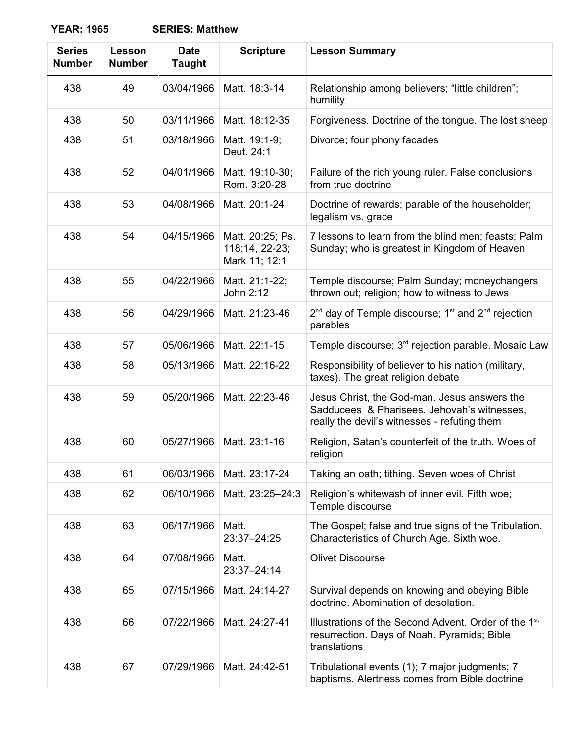**YEAR: 1965 SERIES: Matthew**

| <b>Series</b><br><b>Number</b> | Lesson<br><b>Number</b> | <b>Date</b><br><b>Taught</b> | <b>Scripture</b>                                    | <b>Lesson Summary</b>                                                                                                                       |
|--------------------------------|-------------------------|------------------------------|-----------------------------------------------------|---------------------------------------------------------------------------------------------------------------------------------------------|
| 438                            | 49                      | 03/04/1966                   | Matt. 18:3-14                                       | Relationship among believers; "little children";<br>humility                                                                                |
| 438                            | 50                      | 03/11/1966                   | Matt. 18:12-35                                      | Forgiveness. Doctrine of the tongue. The lost sheep                                                                                         |
| 438                            | 51                      | 03/18/1966                   | Matt. 19:1-9;<br>Deut. 24:1                         | Divorce; four phony facades                                                                                                                 |
| 438                            | 52                      | 04/01/1966                   | Matt. 19:10-30;<br>Rom. 3:20-28                     | Failure of the rich young ruler. False conclusions<br>from true doctrine                                                                    |
| 438                            | 53                      | 04/08/1966                   | Matt. 20:1-24                                       | Doctrine of rewards; parable of the householder;<br>legalism vs. grace                                                                      |
| 438                            | 54                      | 04/15/1966                   | Matt. 20:25; Ps.<br>118:14, 22-23;<br>Mark 11; 12:1 | 7 lessons to learn from the blind men; feasts; Palm<br>Sunday; who is greatest in Kingdom of Heaven                                         |
| 438                            | 55                      | 04/22/1966                   | Matt. 21:1-22;<br>John 2:12                         | Temple discourse; Palm Sunday; moneychangers<br>thrown out; religion; how to witness to Jews                                                |
| 438                            | 56                      | 04/29/1966                   | Matt. 21:23-46                                      | $2^{nd}$ day of Temple discourse; 1 <sup>st</sup> and $2^{nd}$ rejection<br>parables                                                        |
| 438                            | 57                      | 05/06/1966                   | Matt. 22:1-15                                       | Temple discourse; 3 <sup>rd</sup> rejection parable. Mosaic Law                                                                             |
| 438                            | 58                      | 05/13/1966                   | Matt. 22:16-22                                      | Responsibility of believer to his nation (military,<br>taxes). The great religion debate                                                    |
| 438                            | 59                      | 05/20/1966                   | Matt. 22:23-46                                      | Jesus Christ, the God-man. Jesus answers the<br>Sadducees & Pharisees. Jehovah's witnesses,<br>really the devil's witnesses - refuting them |
| 438                            | 60                      | 05/27/1966                   | Matt. 23:1-16                                       | Religion, Satan's counterfeit of the truth. Woes of<br>religion                                                                             |
| 438                            | 61                      | 06/03/1966                   | Matt. 23:17-24                                      | Taking an oath; tithing. Seven woes of Christ                                                                                               |
| 438                            | 62                      | 06/10/1966                   | Matt. 23:25-24:3                                    | Religion's whitewash of inner evil. Fifth woe;<br>Temple discourse                                                                          |
| 438                            | 63                      | 06/17/1966                   | Matt.<br>23:37-24:25                                | The Gospel; false and true signs of the Tribulation.<br>Characteristics of Church Age. Sixth woe.                                           |
| 438                            | 64                      | 07/08/1966                   | Matt.<br>23:37-24:14                                | <b>Olivet Discourse</b>                                                                                                                     |
| 438                            | 65                      | 07/15/1966                   | Matt. 24:14-27                                      | Survival depends on knowing and obeying Bible<br>doctrine. Abomination of desolation.                                                       |
| 438                            | 66                      | 07/22/1966                   | Matt. 24:27-41                                      | Illustrations of the Second Advent. Order of the 1 <sup>st</sup><br>resurrection. Days of Noah. Pyramids; Bible<br>translations             |
| 438                            | 67                      | 07/29/1966                   | Matt. 24:42-51                                      | Tribulational events (1); 7 major judgments; 7<br>baptisms. Alertness comes from Bible doctrine                                             |